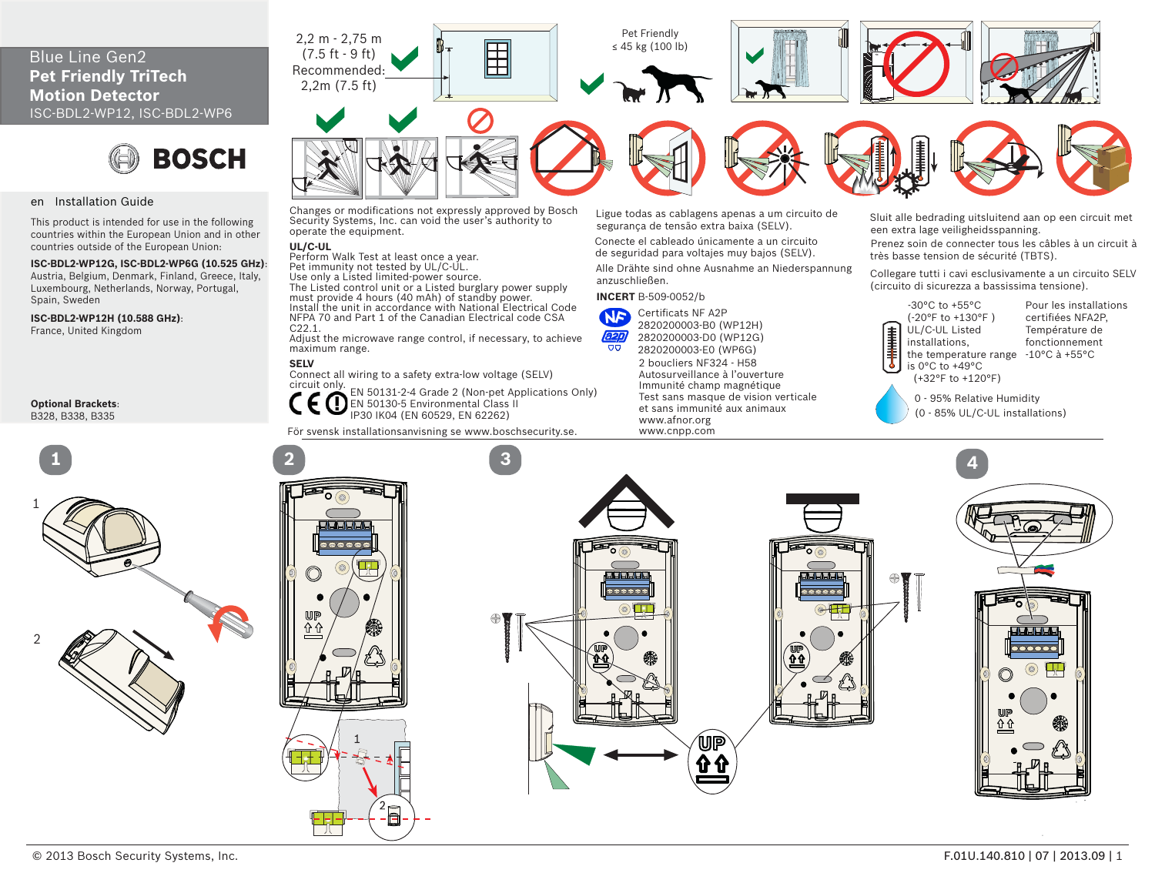# **Pet Friendly TriTech Motion Detector**ISC-BDL2-WP12, ISC-BDL2-WP6



#### en Installation Guide

This product is intended for use in the following countries within the European Union and in other countries outside of the European Union:

**ISC-BDL2-WP12G, ISC-BDL2-WP6G (10.525 GHz)**: Austria, Belgium, Denmark, Finland, Greece, Italy, Luxembourg, Netherlands, Norway, Portugal, Spain, Sweden

**ISC-BDL2-WP12H (10.588 GHz)**:

France, United Kingdom

**Optional Brackets**: B328, B338, B335





Changes or modifications not expressly approved by Bosch Ligue todas as cablagens apenas a um circuito de Sluit alle bedrading uitsluitend aan op een circuit met<br>Security Systems, Inc. can void the user's authority to segu

#### **UL/C-UL**

Perform Walk Test at least once a year. Pet immunity not tested by UL/C-UL. Use only a Listed limited-power source. The Listed control unit or a Listed burglary power supply must provide 4 hours (40 mAh) of standby power. Install the unit in accordance with National Electrical Code NFPA 70 and Part 1 of the Canadian Electrical code CSA C22.1.

 Adjust the microwave range control, if necessary, to achieve maximum range.

## **SELV**

 Connect all wiring to a safety extra-low voltage (SELV) circuit only.

EN 50131-2-4 Grade 2 (Non-pet Applications Only) EN 50130-5 Environmental Class II IP30 IK04 (EN 60529, EN 62262)

För svensk installationsanvisning se www.boschsecurity.se.

Ligue todas as cablagens apenas a um circuito de

Conecte el cableado únicamente a un circuito de seguridad para voltajes muy bajos (SELV).

Alle Drähte sind ohne Ausnahme an Niederspannung anzuschließen.

### **INCERT** B-509-0052/b



2 boucliers NF324 - H58 Autosurveillance à l'ouverture2820200003-D0 (WP12G) 2820200003-E0 (WP6G)

 Immunité champ magnétique Test sans masque de vision verticale et sans immunité aux animaux www.afnor.org www.cnpp.com

Prenez soin de connecter tous les câbles à un circuit à très basse tension de sécurité (TBTS).

Collegare tutti i cavi esclusivamente a un circuito SELV (circuito di sicurezza a bassissima tensione).



the temperature range -10°C à +55°CPour les installations certifiées NFA2P, Température de fonctionnement

0 - 95% Relative Humidity (0 - 85% UL/C-UL installations)